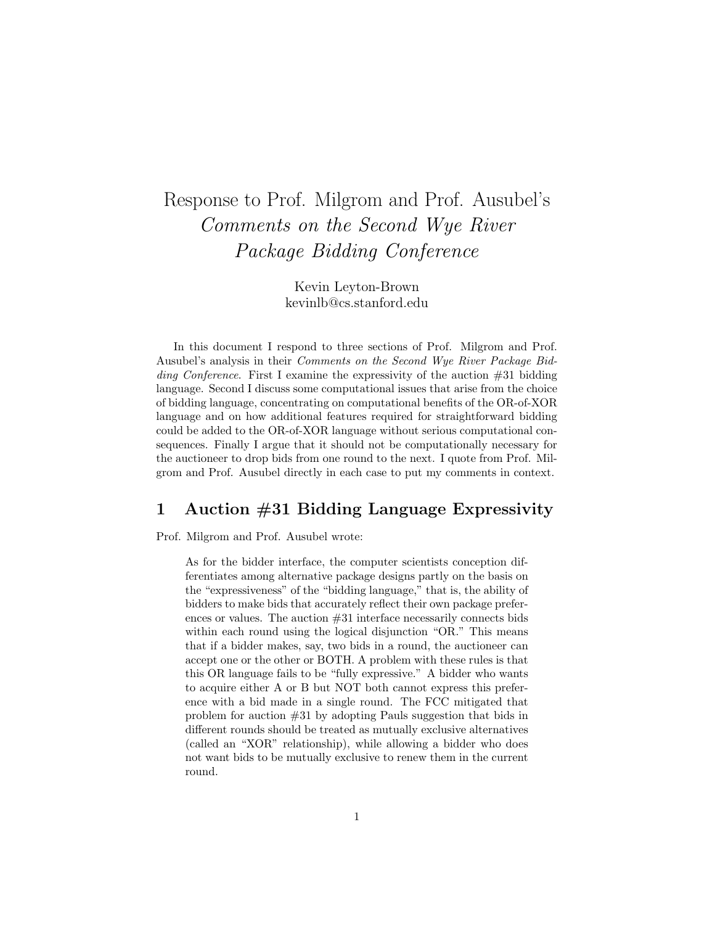# Response to Prof. Milgrom and Prof. Ausubel's Comments on the Second Wye River Package Bidding Conference

Kevin Leyton-Brown kevinlb@cs.stanford.edu

In this document I respond to three sections of Prof. Milgrom and Prof. Ausubel's analysis in their Comments on the Second Wye River Package Bid*ding Conference.* First I examine the expressivity of the auction  $\#31$  bidding language. Second I discuss some computational issues that arise from the choice of bidding language, concentrating on computational benefits of the OR-of-XOR language and on how additional features required for straightforward bidding could be added to the OR-of-XOR language without serious computational consequences. Finally I argue that it should not be computationally necessary for the auctioneer to drop bids from one round to the next. I quote from Prof. Milgrom and Prof. Ausubel directly in each case to put my comments in context.

# 1 Auction #31 Bidding Language Expressivity

Prof. Milgrom and Prof. Ausubel wrote:

As for the bidder interface, the computer scientists conception differentiates among alternative package designs partly on the basis on the "expressiveness" of the "bidding language," that is, the ability of bidders to make bids that accurately reflect their own package preferences or values. The auction #31 interface necessarily connects bids within each round using the logical disjunction "OR." This means that if a bidder makes, say, two bids in a round, the auctioneer can accept one or the other or BOTH. A problem with these rules is that this OR language fails to be "fully expressive." A bidder who wants to acquire either A or B but NOT both cannot express this preference with a bid made in a single round. The FCC mitigated that problem for auction #31 by adopting Pauls suggestion that bids in different rounds should be treated as mutually exclusive alternatives (called an "XOR" relationship), while allowing a bidder who does not want bids to be mutually exclusive to renew them in the current round.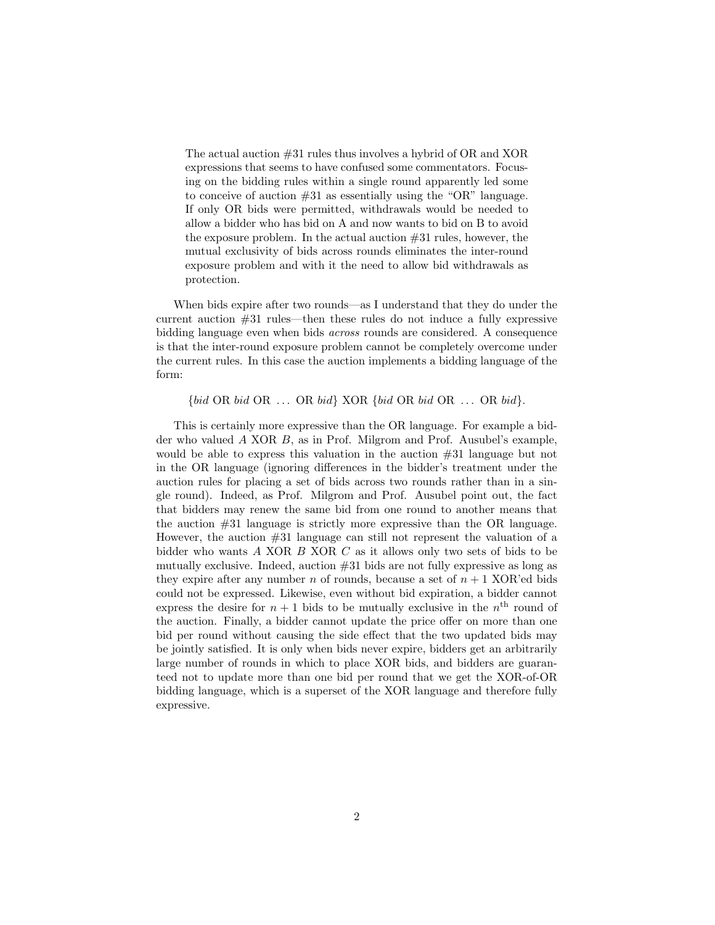The actual auction #31 rules thus involves a hybrid of OR and XOR expressions that seems to have confused some commentators. Focusing on the bidding rules within a single round apparently led some to conceive of auction  $#31$  as essentially using the "OR" language. If only OR bids were permitted, withdrawals would be needed to allow a bidder who has bid on A and now wants to bid on B to avoid the exposure problem. In the actual auction  $#31$  rules, however, the mutual exclusivity of bids across rounds eliminates the inter-round exposure problem and with it the need to allow bid withdrawals as protection.

When bids expire after two rounds—as I understand that they do under the current auction #31 rules—then these rules do not induce a fully expressive bidding language even when bids across rounds are considered. A consequence is that the inter-round exposure problem cannot be completely overcome under the current rules. In this case the auction implements a bidding language of the form:

 ${bid OR bid OR ... OR bid}$  XOR  ${bid OR bid OR ... OR bid}.$ 

This is certainly more expressive than the OR language. For example a bidder who valued A XOR B, as in Prof. Milgrom and Prof. Ausubel's example, would be able to express this valuation in the auction #31 language but not in the OR language (ignoring differences in the bidder's treatment under the auction rules for placing a set of bids across two rounds rather than in a single round). Indeed, as Prof. Milgrom and Prof. Ausubel point out, the fact that bidders may renew the same bid from one round to another means that the auction #31 language is strictly more expressive than the OR language. However, the auction #31 language can still not represent the valuation of a bidder who wants A XOR B XOR C as it allows only two sets of bids to be mutually exclusive. Indeed, auction  $#31$  bids are not fully expressive as long as they expire after any number n of rounds, because a set of  $n + 1$  XOR'ed bids could not be expressed. Likewise, even without bid expiration, a bidder cannot express the desire for  $n+1$  bids to be mutually exclusive in the  $n<sup>th</sup>$  round of the auction. Finally, a bidder cannot update the price offer on more than one bid per round without causing the side effect that the two updated bids may be jointly satisfied. It is only when bids never expire, bidders get an arbitrarily large number of rounds in which to place XOR bids, and bidders are guaranteed not to update more than one bid per round that we get the XOR-of-OR bidding language, which is a superset of the XOR language and therefore fully expressive.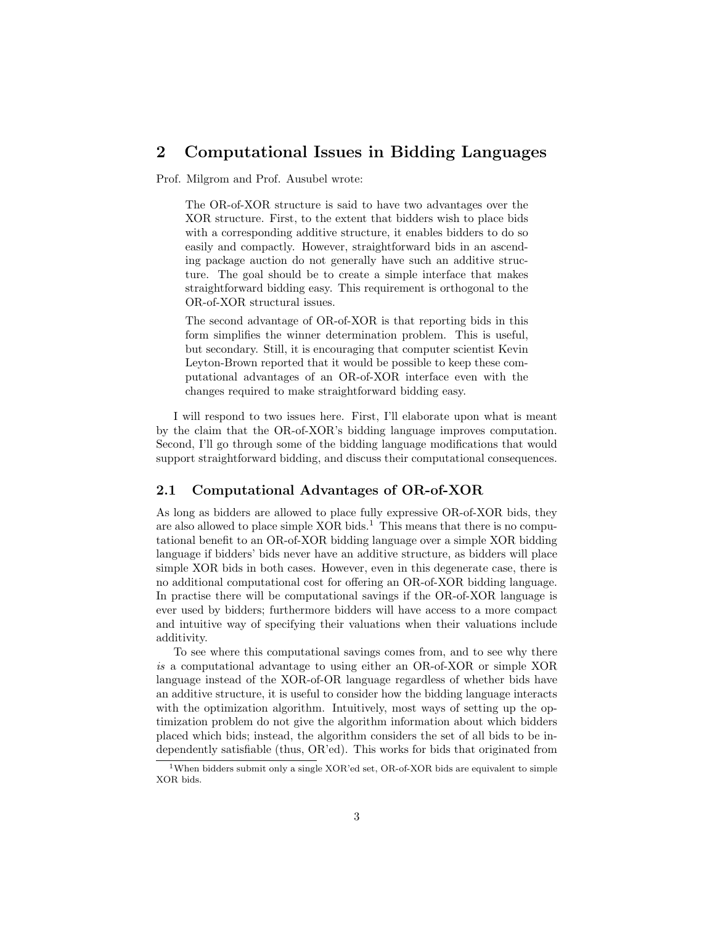## 2 Computational Issues in Bidding Languages

Prof. Milgrom and Prof. Ausubel wrote:

The OR-of-XOR structure is said to have two advantages over the XOR structure. First, to the extent that bidders wish to place bids with a corresponding additive structure, it enables bidders to do so easily and compactly. However, straightforward bids in an ascending package auction do not generally have such an additive structure. The goal should be to create a simple interface that makes straightforward bidding easy. This requirement is orthogonal to the OR-of-XOR structural issues.

The second advantage of OR-of-XOR is that reporting bids in this form simplifies the winner determination problem. This is useful, but secondary. Still, it is encouraging that computer scientist Kevin Leyton-Brown reported that it would be possible to keep these computational advantages of an OR-of-XOR interface even with the changes required to make straightforward bidding easy.

I will respond to two issues here. First, I'll elaborate upon what is meant by the claim that the OR-of-XOR's bidding language improves computation. Second, I'll go through some of the bidding language modifications that would support straightforward bidding, and discuss their computational consequences.

### 2.1 Computational Advantages of OR-of-XOR

As long as bidders are allowed to place fully expressive OR-of-XOR bids, they are also allowed to place simple  $XOR$  bids.<sup>1</sup> This means that there is no computational benefit to an OR-of-XOR bidding language over a simple XOR bidding language if bidders' bids never have an additive structure, as bidders will place simple XOR bids in both cases. However, even in this degenerate case, there is no additional computational cost for offering an OR-of-XOR bidding language. In practise there will be computational savings if the OR-of-XOR language is ever used by bidders; furthermore bidders will have access to a more compact and intuitive way of specifying their valuations when their valuations include additivity.

To see where this computational savings comes from, and to see why there is a computational advantage to using either an OR-of-XOR or simple XOR language instead of the XOR-of-OR language regardless of whether bids have an additive structure, it is useful to consider how the bidding language interacts with the optimization algorithm. Intuitively, most ways of setting up the optimization problem do not give the algorithm information about which bidders placed which bids; instead, the algorithm considers the set of all bids to be independently satisfiable (thus, OR'ed). This works for bids that originated from

<sup>1</sup>When bidders submit only a single XOR'ed set, OR-of-XOR bids are equivalent to simple XOR bids.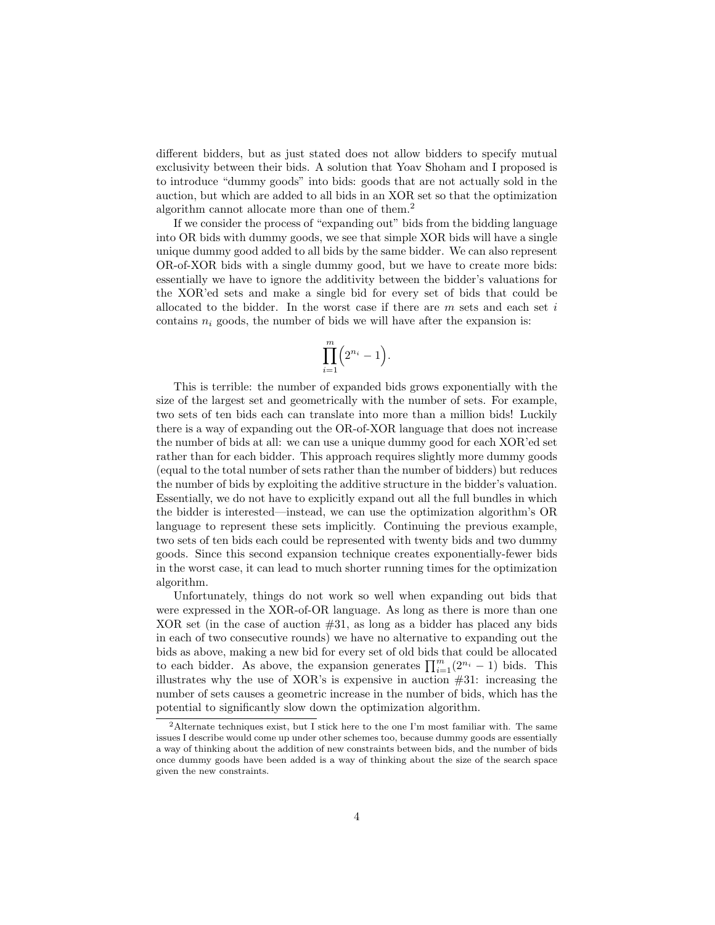different bidders, but as just stated does not allow bidders to specify mutual exclusivity between their bids. A solution that Yoav Shoham and I proposed is to introduce "dummy goods" into bids: goods that are not actually sold in the auction, but which are added to all bids in an XOR set so that the optimization algorithm cannot allocate more than one of them.<sup>2</sup>

If we consider the process of "expanding out" bids from the bidding language into OR bids with dummy goods, we see that simple XOR bids will have a single unique dummy good added to all bids by the same bidder. We can also represent OR-of-XOR bids with a single dummy good, but we have to create more bids: essentially we have to ignore the additivity between the bidder's valuations for the XOR'ed sets and make a single bid for every set of bids that could be allocated to the bidder. In the worst case if there are  $m$  sets and each set i contains  $n_i$  goods, the number of bids we will have after the expansion is:

$$
\prod_{i=1}^m \Bigl(2^{n_i}-1\Bigr).
$$

This is terrible: the number of expanded bids grows exponentially with the size of the largest set and geometrically with the number of sets. For example, two sets of ten bids each can translate into more than a million bids! Luckily there is a way of expanding out the OR-of-XOR language that does not increase the number of bids at all: we can use a unique dummy good for each XOR'ed set rather than for each bidder. This approach requires slightly more dummy goods (equal to the total number of sets rather than the number of bidders) but reduces the number of bids by exploiting the additive structure in the bidder's valuation. Essentially, we do not have to explicitly expand out all the full bundles in which the bidder is interested—instead, we can use the optimization algorithm's OR language to represent these sets implicitly. Continuing the previous example, two sets of ten bids each could be represented with twenty bids and two dummy goods. Since this second expansion technique creates exponentially-fewer bids in the worst case, it can lead to much shorter running times for the optimization algorithm.

Unfortunately, things do not work so well when expanding out bids that were expressed in the XOR-of-OR language. As long as there is more than one XOR set (in the case of auction  $#31$ , as long as a bidder has placed any bids in each of two consecutive rounds) we have no alternative to expanding out the bids as above, making a new bid for every set of old bids that could be allocated to each bidder. As above, the expansion generates  $\prod_{i=1}^{m} (2^{n_i} - 1)$  bids. This illustrates why the use of XOR's is expensive in auction  $#31$ : increasing the number of sets causes a geometric increase in the number of bids, which has the potential to significantly slow down the optimization algorithm.

<sup>2</sup>Alternate techniques exist, but I stick here to the one I'm most familiar with. The same issues I describe would come up under other schemes too, because dummy goods are essentially a way of thinking about the addition of new constraints between bids, and the number of bids once dummy goods have been added is a way of thinking about the size of the search space given the new constraints.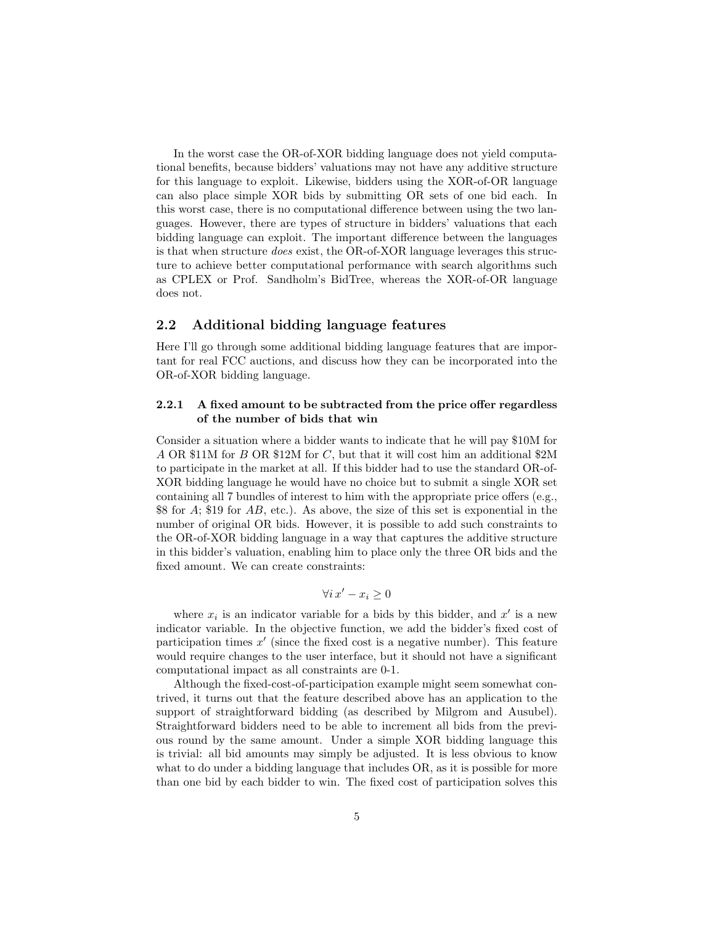In the worst case the OR-of-XOR bidding language does not yield computational benefits, because bidders' valuations may not have any additive structure for this language to exploit. Likewise, bidders using the XOR-of-OR language can also place simple XOR bids by submitting OR sets of one bid each. In this worst case, there is no computational difference between using the two languages. However, there are types of structure in bidders' valuations that each bidding language can exploit. The important difference between the languages is that when structure does exist, the OR-of-XOR language leverages this structure to achieve better computational performance with search algorithms such as CPLEX or Prof. Sandholm's BidTree, whereas the XOR-of-OR language does not.

### 2.2 Additional bidding language features

Here I'll go through some additional bidding language features that are important for real FCC auctions, and discuss how they can be incorporated into the OR-of-XOR bidding language.

#### 2.2.1 A fixed amount to be subtracted from the price offer regardless of the number of bids that win

Consider a situation where a bidder wants to indicate that he will pay \$10M for A OR \$11M for B OR \$12M for C, but that it will cost him an additional \$2M to participate in the market at all. If this bidder had to use the standard OR-of-XOR bidding language he would have no choice but to submit a single XOR set containing all 7 bundles of interest to him with the appropriate price offers (e.g., \$8 for A; \$19 for AB, etc.). As above, the size of this set is exponential in the number of original OR bids. However, it is possible to add such constraints to the OR-of-XOR bidding language in a way that captures the additive structure in this bidder's valuation, enabling him to place only the three OR bids and the fixed amount. We can create constraints:

$$
\forall i \, x' - x_i \ge 0
$$

where  $x_i$  is an indicator variable for a bids by this bidder, and  $x'$  is a new indicator variable. In the objective function, we add the bidder's fixed cost of participation times  $x'$  (since the fixed cost is a negative number). This feature would require changes to the user interface, but it should not have a significant computational impact as all constraints are 0-1.

Although the fixed-cost-of-participation example might seem somewhat contrived, it turns out that the feature described above has an application to the support of straightforward bidding (as described by Milgrom and Ausubel). Straightforward bidders need to be able to increment all bids from the previous round by the same amount. Under a simple XOR bidding language this is trivial: all bid amounts may simply be adjusted. It is less obvious to know what to do under a bidding language that includes OR, as it is possible for more than one bid by each bidder to win. The fixed cost of participation solves this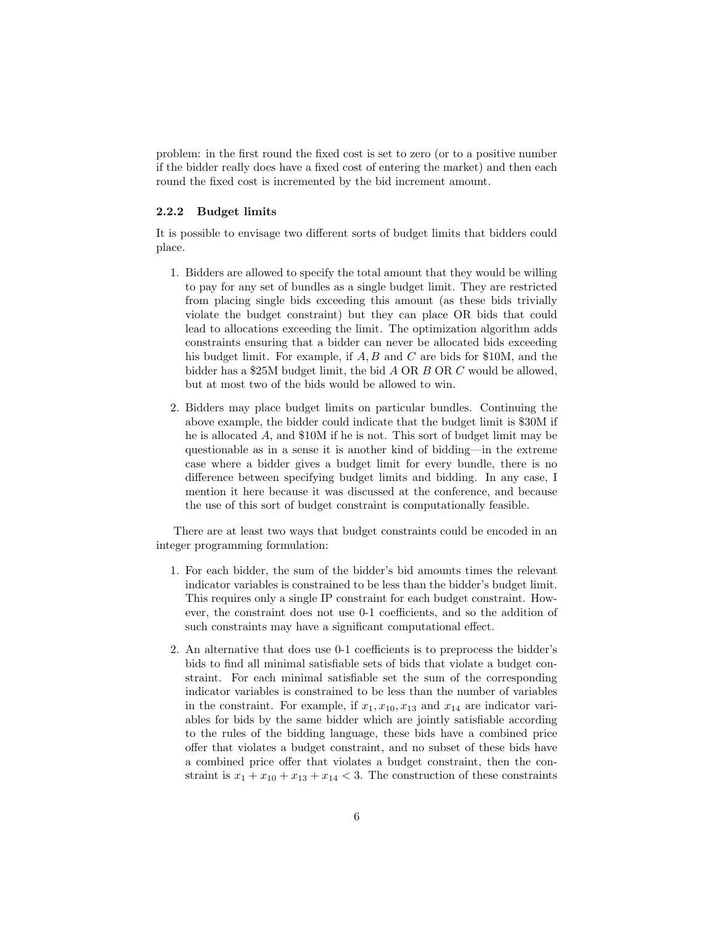problem: in the first round the fixed cost is set to zero (or to a positive number if the bidder really does have a fixed cost of entering the market) and then each round the fixed cost is incremented by the bid increment amount.

#### 2.2.2 Budget limits

It is possible to envisage two different sorts of budget limits that bidders could place.

- 1. Bidders are allowed to specify the total amount that they would be willing to pay for any set of bundles as a single budget limit. They are restricted from placing single bids exceeding this amount (as these bids trivially violate the budget constraint) but they can place OR bids that could lead to allocations exceeding the limit. The optimization algorithm adds constraints ensuring that a bidder can never be allocated bids exceeding his budget limit. For example, if A, B and C are bids for \$10M, and the bidder has a \$25M budget limit, the bid A OR B OR C would be allowed, but at most two of the bids would be allowed to win.
- 2. Bidders may place budget limits on particular bundles. Continuing the above example, the bidder could indicate that the budget limit is \$30M if he is allocated A, and \$10M if he is not. This sort of budget limit may be questionable as in a sense it is another kind of bidding—in the extreme case where a bidder gives a budget limit for every bundle, there is no difference between specifying budget limits and bidding. In any case, I mention it here because it was discussed at the conference, and because the use of this sort of budget constraint is computationally feasible.

There are at least two ways that budget constraints could be encoded in an integer programming formulation:

- 1. For each bidder, the sum of the bidder's bid amounts times the relevant indicator variables is constrained to be less than the bidder's budget limit. This requires only a single IP constraint for each budget constraint. However, the constraint does not use 0-1 coefficients, and so the addition of such constraints may have a significant computational effect.
- 2. An alternative that does use 0-1 coefficients is to preprocess the bidder's bids to find all minimal satisfiable sets of bids that violate a budget constraint. For each minimal satisfiable set the sum of the corresponding indicator variables is constrained to be less than the number of variables in the constraint. For example, if  $x_1, x_{10}, x_{13}$  and  $x_{14}$  are indicator variables for bids by the same bidder which are jointly satisfiable according to the rules of the bidding language, these bids have a combined price offer that violates a budget constraint, and no subset of these bids have a combined price offer that violates a budget constraint, then the constraint is  $x_1 + x_{10} + x_{13} + x_{14} < 3$ . The construction of these constraints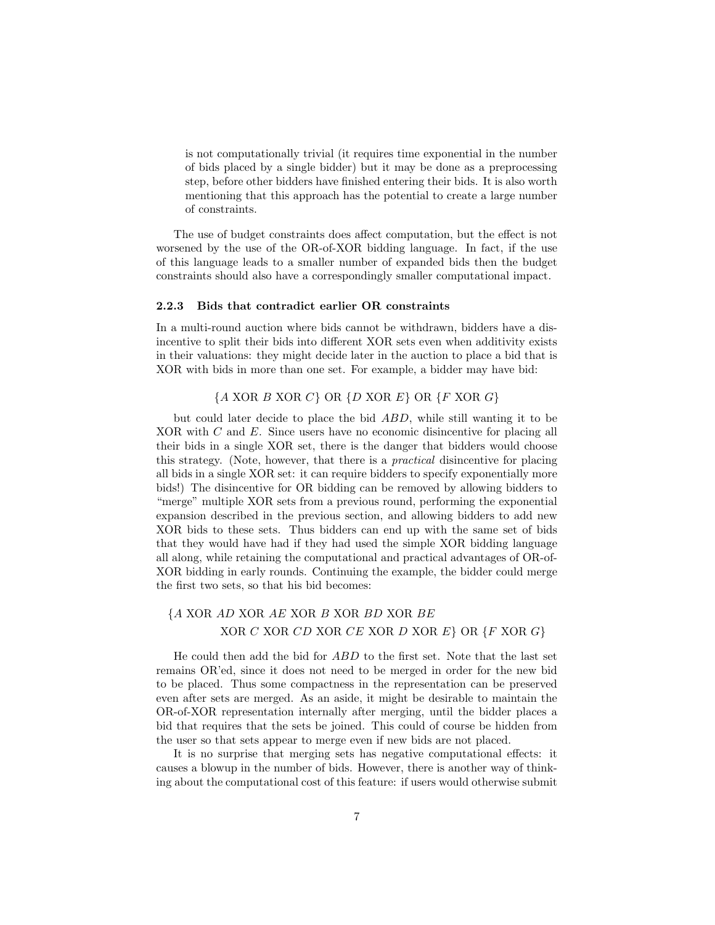is not computationally trivial (it requires time exponential in the number of bids placed by a single bidder) but it may be done as a preprocessing step, before other bidders have finished entering their bids. It is also worth mentioning that this approach has the potential to create a large number of constraints.

The use of budget constraints does affect computation, but the effect is not worsened by the use of the OR-of-XOR bidding language. In fact, if the use of this language leads to a smaller number of expanded bids then the budget constraints should also have a correspondingly smaller computational impact.

#### 2.2.3 Bids that contradict earlier OR constraints

In a multi-round auction where bids cannot be withdrawn, bidders have a disincentive to split their bids into different XOR sets even when additivity exists in their valuations: they might decide later in the auction to place a bid that is XOR with bids in more than one set. For example, a bidder may have bid:

### ${A \text{ XOR } B \text{ XOR } C}$  OR  ${D \text{ XOR } E}$  OR  ${F \text{ XOR } G}$

but could later decide to place the bid ABD, while still wanting it to be XOR with C and E. Since users have no economic disincentive for placing all their bids in a single XOR set, there is the danger that bidders would choose this strategy. (Note, however, that there is a practical disincentive for placing all bids in a single XOR set: it can require bidders to specify exponentially more bids!) The disincentive for OR bidding can be removed by allowing bidders to "merge" multiple XOR sets from a previous round, performing the exponential expansion described in the previous section, and allowing bidders to add new XOR bids to these sets. Thus bidders can end up with the same set of bids that they would have had if they had used the simple XOR bidding language all along, while retaining the computational and practical advantages of OR-of-XOR bidding in early rounds. Continuing the example, the bidder could merge the first two sets, so that his bid becomes:

### {A XOR AD XOR AE XOR B XOR BD XOR BE  $XOR C XOR CD XOR CE XOR D XOR E$  OR  ${F XOR G}$

He could then add the bid for ABD to the first set. Note that the last set remains OR'ed, since it does not need to be merged in order for the new bid to be placed. Thus some compactness in the representation can be preserved even after sets are merged. As an aside, it might be desirable to maintain the OR-of-XOR representation internally after merging, until the bidder places a bid that requires that the sets be joined. This could of course be hidden from the user so that sets appear to merge even if new bids are not placed.

It is no surprise that merging sets has negative computational effects: it causes a blowup in the number of bids. However, there is another way of thinking about the computational cost of this feature: if users would otherwise submit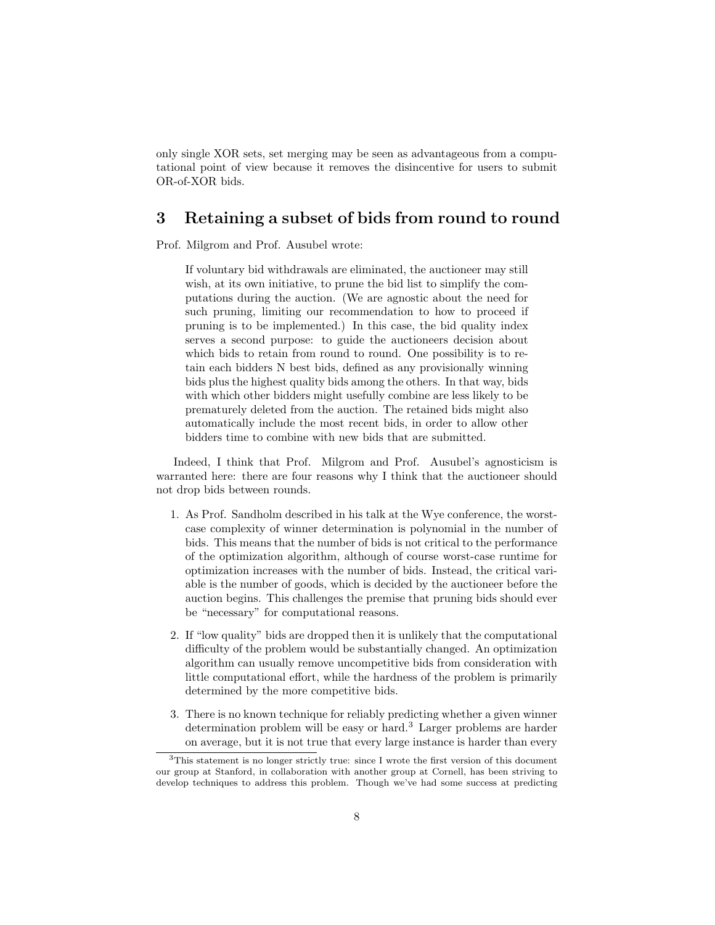only single XOR sets, set merging may be seen as advantageous from a computational point of view because it removes the disincentive for users to submit OR-of-XOR bids.

# 3 Retaining a subset of bids from round to round

Prof. Milgrom and Prof. Ausubel wrote:

If voluntary bid withdrawals are eliminated, the auctioneer may still wish, at its own initiative, to prune the bid list to simplify the computations during the auction. (We are agnostic about the need for such pruning, limiting our recommendation to how to proceed if pruning is to be implemented.) In this case, the bid quality index serves a second purpose: to guide the auctioneers decision about which bids to retain from round to round. One possibility is to retain each bidders N best bids, defined as any provisionally winning bids plus the highest quality bids among the others. In that way, bids with which other bidders might usefully combine are less likely to be prematurely deleted from the auction. The retained bids might also automatically include the most recent bids, in order to allow other bidders time to combine with new bids that are submitted.

Indeed, I think that Prof. Milgrom and Prof. Ausubel's agnosticism is warranted here: there are four reasons why I think that the auctioneer should not drop bids between rounds.

- 1. As Prof. Sandholm described in his talk at the Wye conference, the worstcase complexity of winner determination is polynomial in the number of bids. This means that the number of bids is not critical to the performance of the optimization algorithm, although of course worst-case runtime for optimization increases with the number of bids. Instead, the critical variable is the number of goods, which is decided by the auctioneer before the auction begins. This challenges the premise that pruning bids should ever be "necessary" for computational reasons.
- 2. If "low quality" bids are dropped then it is unlikely that the computational difficulty of the problem would be substantially changed. An optimization algorithm can usually remove uncompetitive bids from consideration with little computational effort, while the hardness of the problem is primarily determined by the more competitive bids.
- 3. There is no known technique for reliably predicting whether a given winner determination problem will be easy or hard.<sup>3</sup> Larger problems are harder on average, but it is not true that every large instance is harder than every

<sup>3</sup>This statement is no longer strictly true: since I wrote the first version of this document our group at Stanford, in collaboration with another group at Cornell, has been striving to develop techniques to address this problem. Though we've had some success at predicting